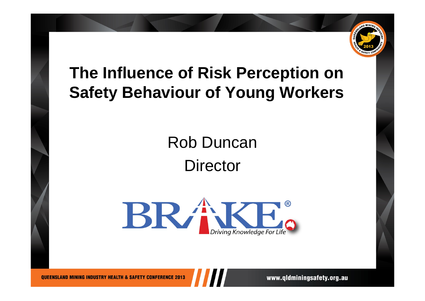

### **The Influence of Risk Perception on Safety Behaviour of Young Workers**

# Rob Duncan**Director**



www.gldminingsafety.org.au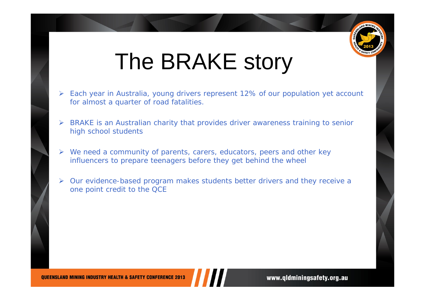

# The BRAKE story

- ¾ Each year in Australia, young drivers represent 12% of our population yet account for almost a quarter of road fatalities.
- ¾ BRAKE is an Australian charity that provides driver awareness training to senior high school students
- ¾We need a community of parents, carers, educators, peers and other key influencers to prepare teenagers before they get behind the wheel
- ¾ Our evidence-based program makes students better drivers and they receive a one point credit to the QCE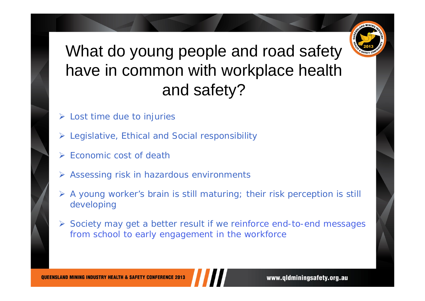

### What do young people and road safety have in common with workplace health and safety?

- $\triangleright$  Lost time due to injuries
- ¾Legislative, Ethical and Social responsibility
- ¾ Economic cost of death
- ¾ Assessing risk in hazardous environments
- ¾ A young worker's brain is still maturing; their risk perception is still developing
- ¾ Society may get a better result if we reinforce end-to-end messages from school to early engagement in the workforce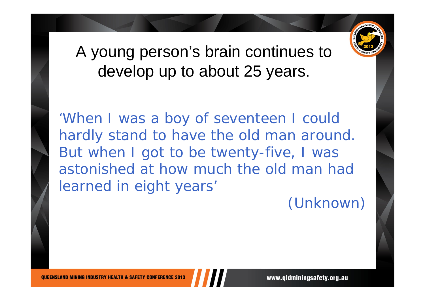

#### A young person's brain continues to develop up to about 25 years.

'When I was a boy of seventeen I could hardly stand to have the old man around. But when I got to be twenty-five, I was astonished at how much the old man had learned in eight years'

(Unknown)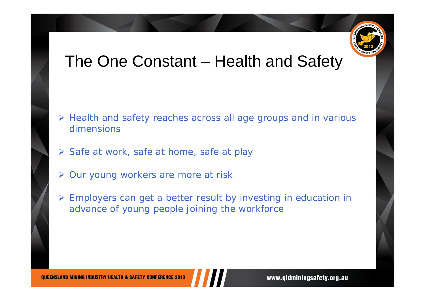

#### The One Constant – Health and Safety

- ¾ Health and safety reaches across all age groups and in various dimensions
- ¾ Safe at work, safe at home, safe at play
- ¾ Our young workers are more at risk
- ¾ Employers can get a better result by investing in education in advance of young people joining the workforce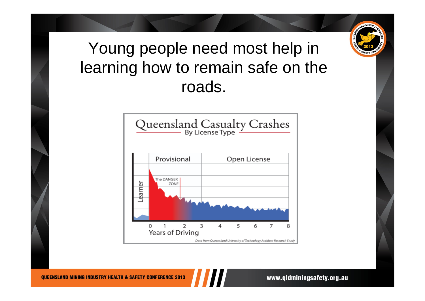

#### Young people need most help in learning how to remain safe on the roads.



www.gldminingsafety.org.au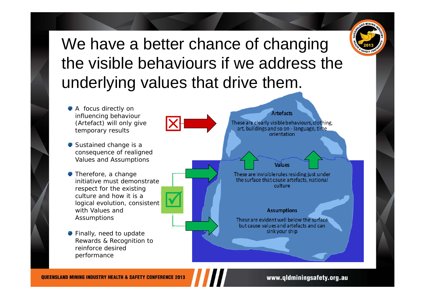

#### We have a better chance of changing the visible behaviours if we address the underlying values that drive them.



www.qldminingsafety.org.au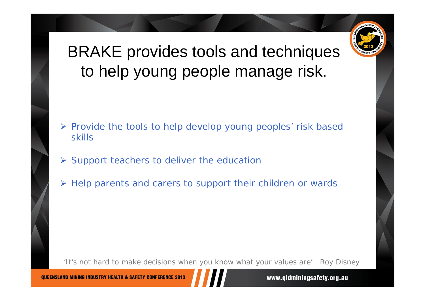

#### BRAKE provides tools and techniques to help young people manage risk.

- ¾ Provide the tools to help develop young peoples' risk based skills
- $\triangleright$  Support teachers to deliver the education
- ¾ Help parents and carers to support their children or wards

'It's not hard to make decisions when you know what your values are' *Roy Disney*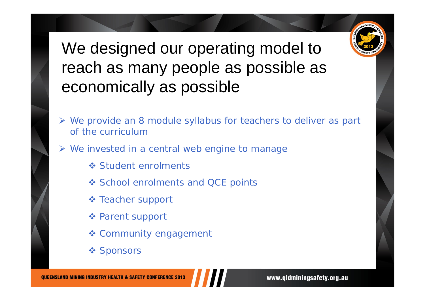

#### We designed our operating model to reach as many people as possible as economically as possible

- ¾ We provide an 8 module syllabus for teachers to deliver as part of the curriculum
- ¾ We invested in a central web engine to manage
	- **❖ Student enrolments**
	- ❖ School enrolments and QCE points
	- **❖ Teacher support**
	- Parent support
	- Community engagement
	- ❖ Sponsors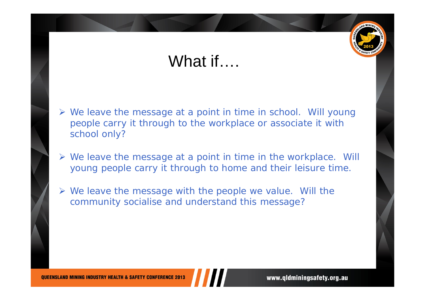#### What if….

- ¾ We leave the message at a point in time in school. Will young people carry it through to the workplace or associate it with school only?
- ¾ We leave the message at a point in time in the workplace. Will young people carry it through to home and their leisure time.
- ¾ We leave the message with the people we value. Will the community socialise and understand this message?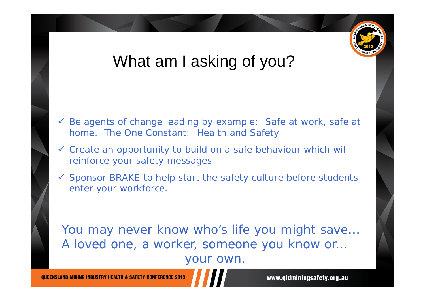

#### What am I asking of you?

- $\checkmark$  Be agents of change leading by example: Safe at work, safe at home. The One Constant: Health and Safety
- $\checkmark$  Create an opportunity to build on a safe behaviour which will reinforce your safety messages
- $\checkmark$  Sponsor BRAKE to help start the safety culture before students enter your workforce.

You may never know who's life you might save… A loved one, a worker, someone you know or… your own.